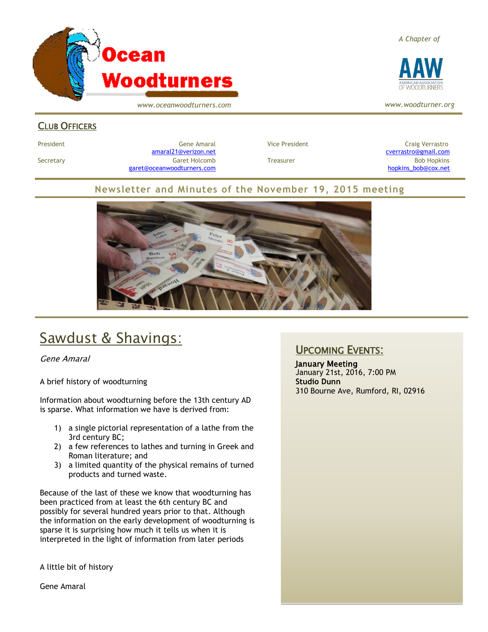

*www.oceanwoodturners.com*

#### *A Chapter of*



*www.woodturner.org*

### CLUB OFFICERS

President Gene Amaral Vice President Craig Verrastro [amaral21@verizon.net](mailto:amaral21@verizon.net) [cverrastro@gmail.com](mailto:cverrastro@gmail.com) Secretary Garet Holcomb Treasurer Bob Hopkins Bob Hopkins (Bob Hopkins Garet Holcomb [garet@oceanwoodturners.com](mailto:garet@oceanwoodturners.com) [hopkins\\_bob@cox.net](mailto:hopkins_bob@cox.net)

### **Newsletter and Minutes of the November 19, 2015 meeting**



# Sawdust & Shavings:

Gene Amaral

A brief history of woodturning

Information about woodturning before the 13th century AD is sparse. What information we have is derived from:

- 1) a single pictorial representation of a lathe from the 3rd century BC;
- 2) a few references to lathes and turning in Greek and Roman literature; and
- 3) a limited quantity of the physical remains of turned products and turned waste.

Because of the last of these we know that woodturning has been practiced from at least the 6th century BC and possibly for several hundred years prior to that. Although the information on the early development of woodturning is sparse it is surprising how much it tells us when it is interpreted in the light of information from later periods

A little bit of history

Gene Amaral

## UPCOMING EVENTS:

January Meeting January 21st, 2016, 7:00 PM **Studio Dunn** 310 Bourne Ave, Rumford, RI, 02916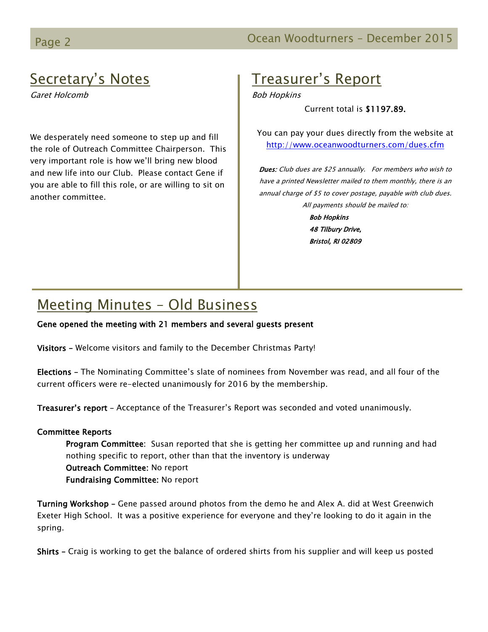## Page 2 **December 2015 December 2015**

## Secretary's Notes

Garet Holcomb

We desperately need someone to step up and fill the role of Outreach Committee Chairperson. This very important role is how we'll bring new blood and new life into our Club. Please contact Gene if you are able to fill this role, or are willing to sit on another committee.

## Treasurer's Report

Bob Hopkins

Current total is \$1197.89.

You can pay your dues directly from the website at <http://www.oceanwoodturners.com/dues.cfm>

Dues: Club dues are \$25 annually. For members who wish to have a printed Newsletter mailed to them monthly, there is an annual charge of \$5 to cover postage, payable with club dues. All payments should be mailed to: Bob Hopkins

> 48 Tilbury Drive, Bristol, RI 02809

## Meeting Minutes – Old Business

#### Gene opened the meeting with 21 members and several guests present

Visitors – Welcome visitors and family to the December Christmas Party!

Elections – The Nominating Committee's slate of nominees from November was read, and all four of the current officers were re-elected unanimously for 2016 by the membership.

Treasurer's report – Acceptance of the Treasurer's Report was seconded and voted unanimously.

#### Committee Reports

Program Committee: Susan reported that she is getting her committee up and running and had nothing specific to report, other than that the inventory is underway Outreach Committee: No report Fundraising Committee: No report

Turning Workshop – Gene passed around photos from the demo he and Alex A. did at West Greenwich Exeter High School. It was a positive experience for everyone and they're looking to do it again in the spring.

Shirts – Craig is working to get the balance of ordered shirts from his supplier and will keep us posted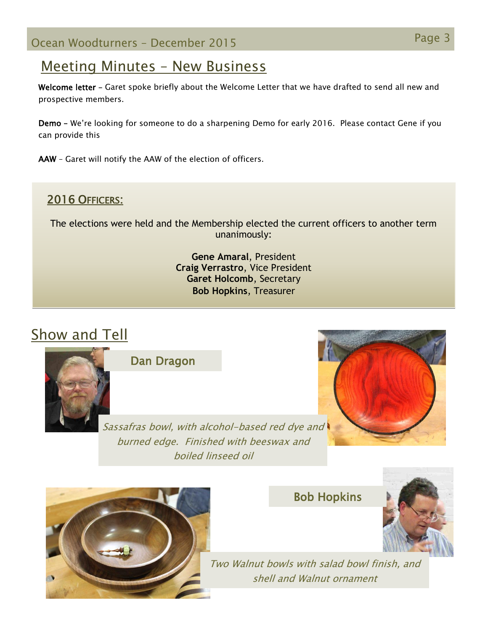## Meeting Minutes – New Business

Welcome letter - Garet spoke briefly about the Welcome Letter that we have drafted to send all new and prospective members.

Demo – We're looking for someone to do a sharpening Demo for early 2016. Please contact Gene if you can provide this

AAW – Garet will notify the AAW of the election of officers.

## 2016 OFFICERS:

The elections were held and the Membership elected the current officers to another term unanimously:

> **Gene Amaral**, President **Craig Verrastro**, Vice President **Garet Holcomb**, Secretary **Bob Hopkins**, Treasurer

# Show and Tell



Dan Dragon

Sassafras bowl, with alcohol-based red dye and burned edge. Finished with beeswax and boiled linseed oil





Bob Hopkins



Two Walnut bowls with salad bowl finish, and shell and Walnut ornament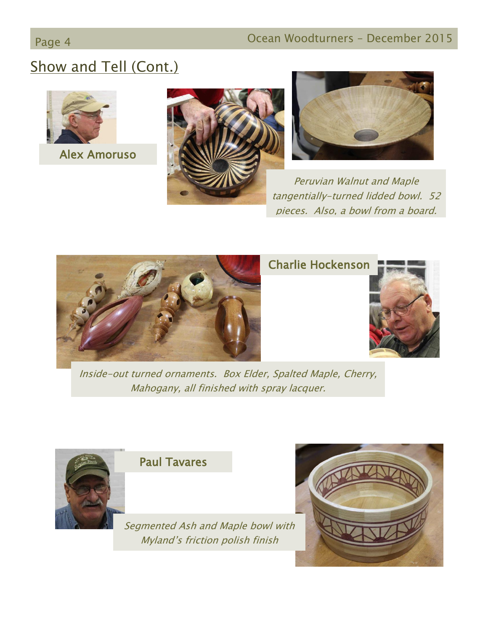# Show and Tell (Cont.)



Alex Amoruso





Peruvian Walnut and Maple tangentially-turned lidded bowl. 52 pieces. Also, a bowl from a board.



## Charlie Hockenson



Inside-out turned ornaments. Box Elder, Spalted Maple, Cherry, Mahogany, all finished with spray lacquer.



Paul Tavares

Segmented Ash and Maple bowl with Myland's friction polish finish

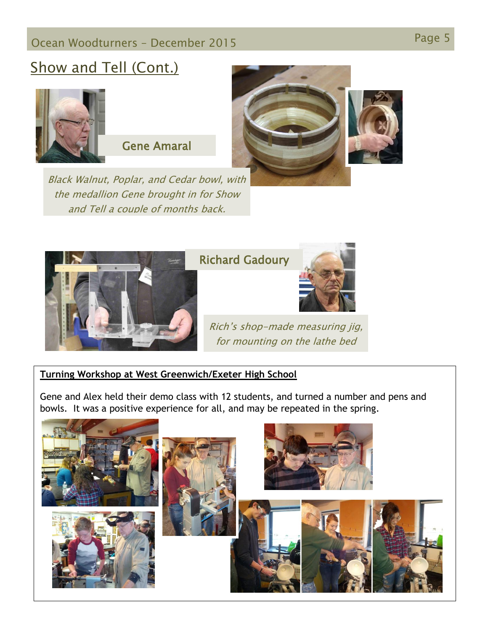# Page 5 Ocean Woodturners – December <sup>2015</sup>

# Show and Tell (Cont.)



Gene Amaral

Black Walnut, Poplar, and Cedar bowl, with the medallion Gene brought in for Show and Tell a couple of months back.





## Richard Gadoury



Rich's shop-made measuring jig, for mounting on the lathe bed

### **Turning Workshop at West Greenwich/Exeter High School**

Gene and Alex held their demo class with 12 students, and turned a number and pens and bowls. It was a positive experience for all, and may be repeated in the spring.

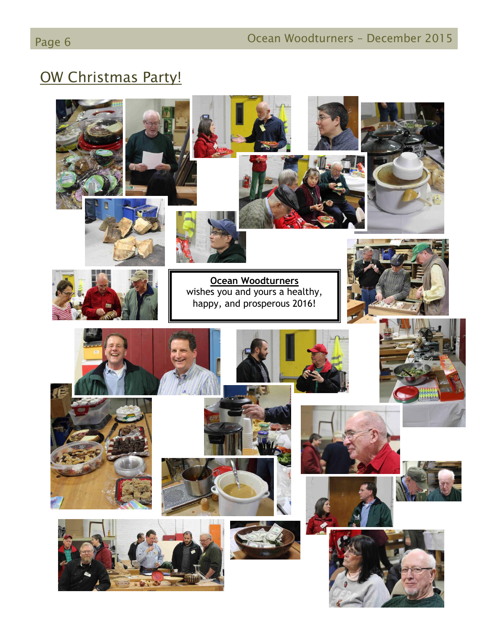# OW Christmas Party!